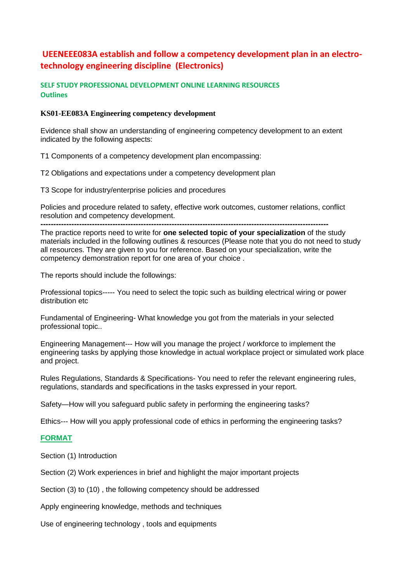### **UEENEEE083A establish and follow a competency development plan in an electrotechnology engineering discipline (Electronics)**

#### **SELF STUDY PROFESSIONAL DEVELOPMENT ONLINE LEARNING RESOURCES Outlines**

#### **KS01-EE083A Engineering competency development**

Evidence shall show an understanding of engineering competency development to an extent indicated by the following aspects:

T1 Components of a competency development plan encompassing:

T2 Obligations and expectations under a competency development plan

T3 Scope for industry/enterprise policies and procedures

Policies and procedure related to safety, effective work outcomes, customer relations, conflict resolution and competency development.

**----------------------------------------------------------------------------------------------------------------**

The practice reports need to write for **one selected topic of your specialization** of the study materials included in the following outlines & resources (Please note that you do not need to study all resources. They are given to you for reference. Based on your specialization, write the competency demonstration report for one area of your choice .

The reports should include the followings:

Professional topics----- You need to select the topic such as building electrical wiring or power distribution etc

Fundamental of Engineering- What knowledge you got from the materials in your selected professional topic..

Engineering Management--- How will you manage the project / workforce to implement the engineering tasks by applying those knowledge in actual workplace project or simulated work place and project.

Rules Regulations, Standards & Specifications- You need to refer the relevant engineering rules, regulations, standards and specifications in the tasks expressed in your report.

Safety—How will you safeguard public safety in performing the engineering tasks?

Ethics--- How will you apply professional code of ethics in performing the engineering tasks?

### **FORMAT**

Section (1) Introduction

Section (2) Work experiences in brief and highlight the major important projects

Section (3) to (10) , the following competency should be addressed

Apply engineering knowledge, methods and techniques

Use of engineering technology , tools and equipments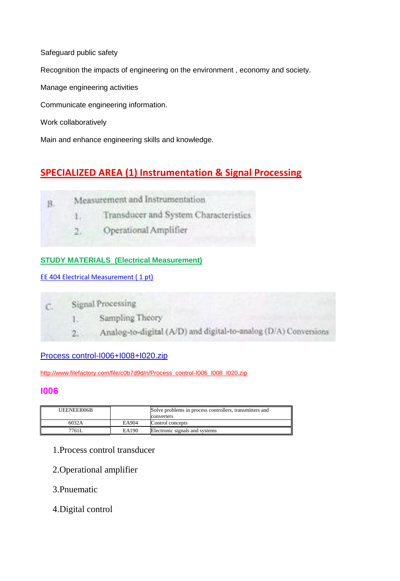Recognition the impacts of engineering on the environment , economy and society.

Manage engineering activities

Communicate engineering information.

Work collaboratively

Safeguard public safety

Main and enhance engineering skills and knowledge.

# **SPECIALIZED AREA (1) Instrumentation & Signal Processing**

| Β |  | Measurement and Instrumentation |  |
|---|--|---------------------------------|--|
|   |  |                                 |  |

Transducer and System Characteristics  $1.$ 

Operational Amplifier  $2.1$ 

# **STUDY MATERIALS (Electrical Measurement)**

EE 404 Electrical Measurement (1 pt)

Signal Processing  $C$ 1.  $2.7$ 

- Sampling Theory
- Analog-to-digital (A/D) and digital-to-analog (D/A) Conversions

### [Process control-I006+I008+I020.zip](http://www.filefactory.com/file/c0b7d9d/n/Process_control-I006_I008_I020.zip)

[http://www.filefactory.com/file/c0b7d9d/n/Process\\_control-I006\\_I008\\_I020.zip](http://www.filefactory.com/file/c0b7d9d/n/Process_control-I006_I008_I020.zip)

# **I006**

| UEENEEI006B |       | Solve problems in process controllers, transmitters and<br>converters |
|-------------|-------|-----------------------------------------------------------------------|
| 6032A       | EA904 | Control concepts                                                      |
| 7761L       | EA190 | Electronic signals and systems                                        |

- 1.Process control transducer
- 2.Operational amplifier
- 3.Pnuematic
- 4.Digital control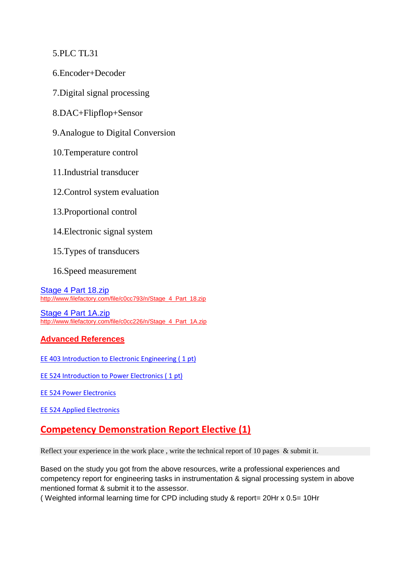5.PLC TL31

6.Encoder+Decoder

7.Digital signal processing

8.DAC+Flipflop+Sensor

9.Analogue to Digital Conversion

10.Temperature control

11.Industrial transducer

12.Control system evaluation

13.Proportional control

14.Electronic signal system

15.Types of transducers

16.Speed measurement

[Stage 4 Part 18.zip](http://www.filefactory.com/file/c0cc793/n/Stage_4_Part_18.zip) [http://www.filefactory.com/file/c0cc793/n/Stage\\_4\\_Part\\_18.zip](http://www.filefactory.com/file/c0cc793/n/Stage_4_Part_18.zip)

[Stage 4 Part 1A.zip](http://www.filefactory.com/file/c0cc226/n/Stage_4_Part_1A.zip) [http://www.filefactory.com/file/c0cc226/n/Stage\\_4\\_Part\\_1A.zip](http://www.filefactory.com/file/c0cc226/n/Stage_4_Part_1A.zip)

### **Advanced References**

EE 403 Introduction to Electronic Engineering (1 pt)

EE 524 Introduction to Power Electronics (1 pt)

[EE 524 Power Electronics](http://www.filefactory.com/file/3yf4gc102f6d/EE_524_Power_Electronics.pdf)

[EE 524 Applied Electronics](http://www.filefactory.com/file/6tzua7t5b3a1/EE_524-Applied_Electronics.pdf)

# **Competency Demonstration Report Elective (1)**

Reflect your experience in the work place, write the technical report of 10 pages & submit it.

Based on the study you got from the above resources, write a professional experiences and competency report for engineering tasks in instrumentation & signal processing system in above mentioned format & submit it to the assessor.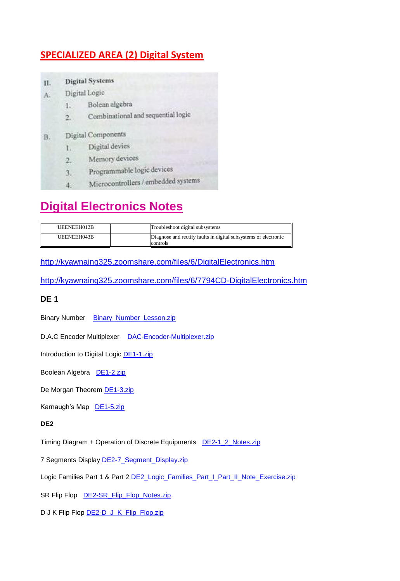# **SPECIALIZED AREA (2) Digital System**

| П. |                           | <b>Digital Systems</b>              |  |  |  |
|----|---------------------------|-------------------------------------|--|--|--|
| A. |                           | Digital Logic                       |  |  |  |
|    | 1.                        | Bolean algebra                      |  |  |  |
|    | $2 -$                     | Combinational and sequential logic  |  |  |  |
| В. | <b>Digital Components</b> |                                     |  |  |  |
|    |                           | Digital devies                      |  |  |  |
|    | 2.                        | Memory devices                      |  |  |  |
|    |                           | Programmable logic devices          |  |  |  |
|    |                           | Microcontrollers / embedded systems |  |  |  |

# **Digital Electronics Notes**

| UEENEEH012B | Troubleshoot digital subsystems                                             |
|-------------|-----------------------------------------------------------------------------|
| UEENEEH043B | Diagnose and rectify faults in digital subsystems of electronic<br>controls |

<http://kyawnaing325.zoomshare.com/files/6/DigitalElectronics.htm>

<http://kyawnaing325.zoomshare.com/files/6/7794CD-DigitalElectronics.htm>

### **DE 1**

Binary Number Binary Number Lesson.zip

D.A.C Encoder Multiplexer [DAC-Encoder-Multiplexer.zip](http://kyawnaing25.zoomshare.com/files/DE/DAC-Encoder-Multiplexer.zip)

Introduction to Digital Logic **DE1-1.zip** 

Boolean Algebra [DE1-2.zip](http://kyawnaing25.zoomshare.com/files/DE/DE1-2.zip)

De Morgan Theorem **DE1-3.zip** 

Karnaugh's Map [DE1-5.zip](http://kyawnaing25.zoomshare.com/files/DE/DE1-5.zip)

#### **DE2**

Timing Diagram + Operation of Discrete Equipments [DE2-1\\_2\\_Notes.zip](http://kyawnaing25.zoomshare.com/files/DE/DE2-1_2_Notes.zip)

7 Segments Display [DE2-7\\_Segment\\_Display.zip](http://kyawnaing25.zoomshare.com/files/DE/DE2-7_Segment_Display.zip)

Logic Families Part 1 & Part 2 [DE2\\_Logic\\_Families\\_Part\\_I\\_Part\\_II\\_Note\\_Exercise.zip](http://kyawnaing25.zoomshare.com/files/DE/DE2_Logic_Families_Part_I_Part_II_Note_Exercise.zip)

SR Flip Flop [DE2-SR\\_Flip\\_Flop\\_Notes.zip](http://kyawnaing25.zoomshare.com/files/DE/DE2-SR_Flip_Flop_Notes.zip)

D J K Flip Flop **DE2-D\_J\_K\_Flip\_Flop.zip**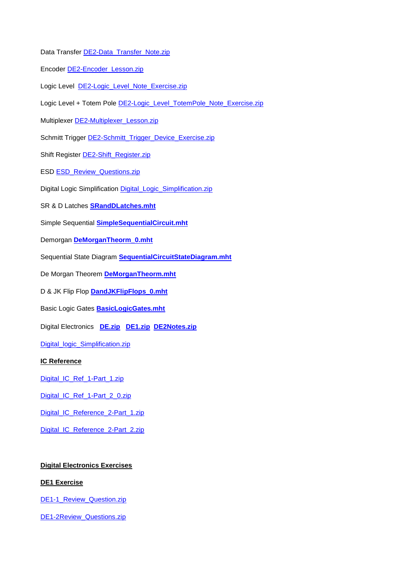- Data Transfer [DE2-Data\\_Transfer\\_Note.zip](http://kyawnaing25.zoomshare.com/files/DE/DE2-Data_Transfer_Note.zip)
- Encoder **DE2-Encoder** Lesson.zip
- Logic Level **[DE2-Logic\\_Level\\_Note\\_Exercise.zip](http://kyawnaing25.zoomshare.com/files/DE/DE2-Logic_Level_Note_Exercise.zip)**
- Logic Level + Totem Pole **DE2-Logic\_Level\_TotemPole\_Note\_Exercise.zip**
- Multiplexer [DE2-Multiplexer\\_Lesson.zip](http://kyawnaing25.zoomshare.com/files/DE/DE2-Multiplexer_Lesson.zip)
- Schmitt Trigger [DE2-Schmitt\\_Trigger\\_Device\\_Exercise.zip](http://kyawnaing25.zoomshare.com/files/DE/DE2-Schmitt_Trigger_Device_Exercise.zip)
- Shift Register **DE2-Shift\_Register.zip**
- ESD **ESD** Review Questions.zip
- Digital Logic Simplification Digital Logic\_Simplification.zip
- SR & D Latches **[SRandDLatches.mht](http://kyawnaing325.zoomshare.com/files/6/SRandDLatches.mht)**
- Simple Sequential **[SimpleSequentialCircuit.mht](http://kyawnaing325.zoomshare.com/files/6/SimpleSequentialCircuit.mht)**
- Demorgan **[DeMorganTheorm\\_0.mht](http://kyawnaing325.zoomshare.com/files/6/DeMorganTheorm_0.mht)**
- Sequential State Diagram **[SequentialCircuitStateDiagram.mht](http://kyawnaing325.zoomshare.com/files/6/SequentialCircuitStateDiagram.mht)**
- De Morgan Theorem **[DeMorganTheorm.mht](http://kyawnaing325.zoomshare.com/files/6/DeMorganTheorm.mht)**
- D & JK Flip Flop **[DandJKFlipFlops\\_0.mht](http://kyawnaing325.zoomshare.com/files/6/DandJKFlipFlops_0.mht)**
- Basic Logic Gates **[BasicLogicGates.mht](http://kyawnaing325.zoomshare.com/files/6/BasicLogicGates.mht)**
- Digital Electronics **[DE.zip](http://kyawnaing325.zoomshare.com/files/6/DE.zip) [DE1.zip](http://kyawnaing325.zoomshare.com/files/6/DE1.zip) [DE2Notes.zip](http://kyawnaing325.zoomshare.com/files/6/DE2Notes.zip)**

[Digital\\_logic\\_Simplification.zip](http://kyawnaing325.zoomshare.com/files/6/Digital_logic_Simplification.zip)

#### **IC Reference**

- [Digital\\_IC\\_Ref\\_1-Part\\_1.zip](http://kyawnaing25.zoomshare.com/files/DE/Digital_IC_Ref_1-Part_1.zip)
- [Digital\\_IC\\_Ref\\_1-Part\\_2\\_0.zip](http://kyawnaing25.zoomshare.com/files/DE/Digital_IC_Ref_1-Part_2_0.zip)
- [Digital\\_IC\\_Reference\\_2-Part\\_1.zip](http://kyawnaing25.zoomshare.com/files/DE/Digital_IC_Reference_2-Part_1.zip)
- [Digital\\_IC\\_Reference\\_2-Part\\_2.zip](http://kyawnaing25.zoomshare.com/files/DE/Digital_IC_Reference_2-Part_2.zip)

#### **Digital Electronics Exercises**

#### **DE1 Exercise**

[DE1-1\\_Review\\_Question.zip](http://kyawnaing325.zoomshare.com/files/6/DE1-1_Review_Question.zip)

[DE1-2Review\\_Questions.zip](http://kyawnaing325.zoomshare.com/files/6/DE1-2Review_Questions.zip)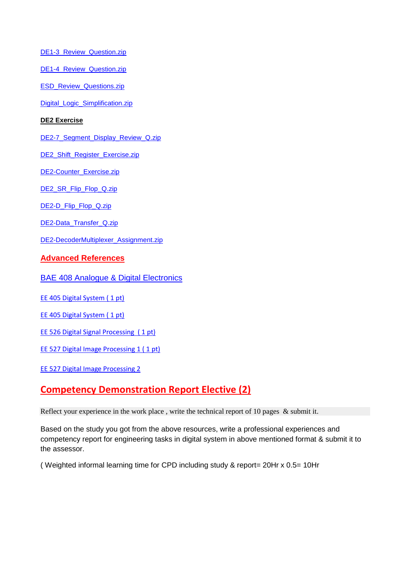[DE1-3\\_Review\\_Question.zip](http://kyawnaing325.zoomshare.com/files/6/DE1-3_Review_Question.zip)

DE1-4 Review Question.zip

[ESD\\_Review\\_Questions.zip](http://kyawnaing25.zoomshare.com/files/DE/ESD_Review_Questions.zip)

Digital Logic Simplification.zip

#### **DE2 Exercise**

[DE2-7\\_Segment\\_Display\\_Review\\_Q.zip](http://kyawnaing325.zoomshare.com/files/6/DE2-7_Segment_Display_Review_Q.zip)

[DE2\\_Shift\\_Register\\_Exercise.zip](http://kyawnaing325.zoomshare.com/files/6/DE2_Shift_Register_Exercise.zip)

[DE2-Counter\\_Exercise.zip](http://kyawnaing325.zoomshare.com/files/6/DE2-Counter_Exercise.zip)

[DE2\\_SR\\_Flip\\_Flop\\_Q.zip](http://kyawnaing325.zoomshare.com/files/6/DE2_SR_Flip_Flop_Q.zip)

[DE2-D\\_Flip\\_Flop\\_Q.zip](http://kyawnaing325.zoomshare.com/files/6/DE2-D_Flip_Flop_Q.zip)

[DE2-Data\\_Transfer\\_Q.zip](http://kyawnaing325.zoomshare.com/files/6/DE2-Data_Transfer_Q.zip)

[DE2-DecoderMultiplexer\\_Assignment.zip](http://kyawnaing325.zoomshare.com/files/6/DE2-DecoderMultiplexer_Assignment.zip)

### **Advanced References**

[BAE 408 Analogue & Digital Electronics](http://www.filefactory.com/file/1aq131r5t1c5/n/BAE_408_Electronics_zip)

[EE 405 Digital System \( 1 pt\)](http://www.filefactory.com/file/1q8hx71ryjdz/n/EE_405_digital-systems-design_pdf)

[EE 405 Digital System \( 1 pt\)](http://www.filefactory.com/file/1q8hx71ryjdz/n/EE_405_digital-systems-design_pdf)

EE 526 Digital Signal Processing (1 pt)

[EE 527 Digital Image Processing](http://www.filefactory.com/file/517425d6s5y1/n/EE_527_digital-image-processing-part-one_pdf) 1 (1 pt)

[EE 527 Digital Image Processing 2](http://www.filefactory.com/file/20s09tldifoh/n/EE_527_digital-image-processing-part-two_pdf)

# **Competency Demonstration Report Elective (2)**

Reflect your experience in the work place, write the technical report of 10 pages & submit it.

Based on the study you got from the above resources, write a professional experiences and competency report for engineering tasks in digital system in above mentioned format & submit it to the assessor.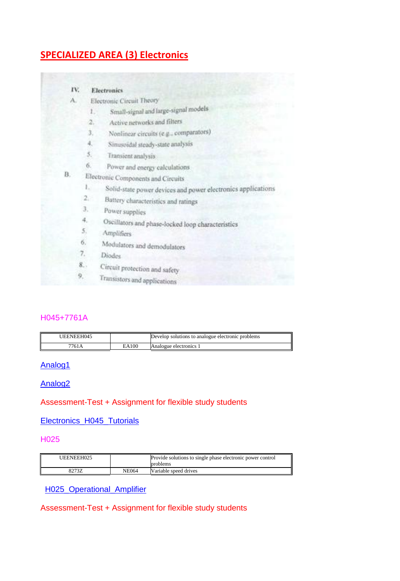# **SPECIALIZED AREA (3) Electronics**

| IV. |                | Electronics                                                  |
|-----|----------------|--------------------------------------------------------------|
| А.  |                | Electronic Circuit Theory                                    |
|     | ı.             | Small-signal and large-signal models                         |
|     | 2.             | Active networks and filters                                  |
|     | з.             | Nonlinear circuits (e.g., comparators)                       |
|     | 4,             | Simasoidal steady-state analysis                             |
|     | 5.             | Transient analysis                                           |
|     | 6.             | Power and energy calculations                                |
| В.  |                | Electronic Components and Circuits                           |
|     | $\mathbb{L}_1$ | Solid-state power devices and power electronics applications |
|     | $2 -$          | Battery characteristics and ratings                          |
|     | З.             | Power supplies                                               |
|     | 4.             | Oscillators and phase-locked loop characteristics            |
|     | 5.             | Amplifiers                                                   |
|     | 6.             | Modulators and demodulators                                  |
|     | 7.             | Diodes.                                                      |
|     | 8.             | Circuit protection and safety                                |
| 9,  |                | Transistors and applications                                 |

### H045+7761A

| JEENEEH045 |       | Develop solutions to analogue electronic problems |
|------------|-------|---------------------------------------------------|
| 7761A      | EA100 | Analogue electronics 1                            |

### [Analog1](http://powerclass.zoomshare.com/files/Analog1.zip)

### [Analog2](http://powerclass.zoomshare.com/files/Analog2.zip)

### Assessment-Test + Assignment for flexible study students

### [Electronics\\_H045\\_Tutorials](http://powerteaching.zoomshare.com/files/Electronics_H045_Tutorials.zip)

### H025

| UEENEEH025 |              | Provide solutions to single phase electronic power control<br>problems |
|------------|--------------|------------------------------------------------------------------------|
| 82737.     | <b>NE064</b> | Variable speed drives                                                  |

### [H025\\_Operational\\_Amplifier](http://powerteaching.zoomshare.com/files/H025_Operational_Amplifier.zip)

### Assessment-Test + Assignment for flexible study students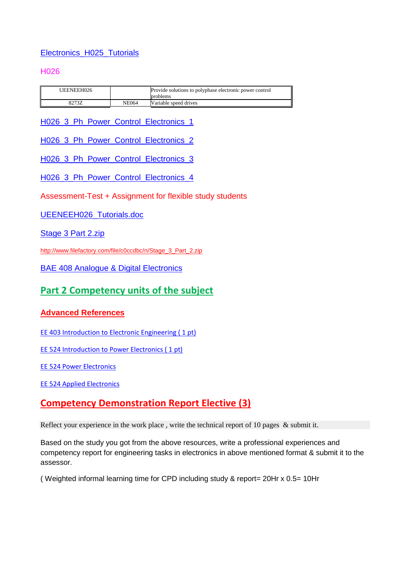### [Electronics\\_H025\\_Tutorials](http://powerteaching.zoomshare.com/files/Electronics_H025_Tutorials.zip)

### H026

| UEENEEH026 |              | Provide solutions to polyphase electronic power control<br>problems |
|------------|--------------|---------------------------------------------------------------------|
| 8273Z      | <b>NE064</b> | Variable speed drives                                               |

[H026\\_3\\_Ph\\_Power\\_Control\\_Electronics\\_1](http://powerteaching.zoomshare.com/files/H026_3_Ph_Power_Control_Electronics_1.zip)

[H026\\_3\\_Ph\\_Power\\_Control\\_Electronics\\_2](http://powerteaching.zoomshare.com/files/H026_3_Ph_Power_Control_Electronics_2.zip)

[H026\\_3\\_Ph\\_Power\\_Control\\_Electronics\\_3](http://powerteaching.zoomshare.com/files/H026_3_Ph_Power_Control_Electronics_3.zip)

[H026\\_3\\_Ph\\_Power\\_Control\\_Electronics\\_4](http://powerteaching.zoomshare.com/files/H026_3_Ph_Power_Control_Electronics_4.zip)

Assessment-Test + Assignment for flexible study students

[UEENEEH026\\_Tutorials.doc](http://powerteaching.zoomshare.com/files/UEENEEH026_Tutorials.doc)

[Stage 3 Part 2.zip](http://www.filefactory.com/file/c0ccdbc/n/Stage_3_Part_2.zip)

[http://www.filefactory.com/file/c0ccdbc/n/Stage\\_3\\_Part\\_2.zip](http://www.filefactory.com/file/c0ccdbc/n/Stage_3_Part_2.zip)

[BAE 408 Analogue & Digital Electronics](http://www.filefactory.com/file/1aq131r5t1c5/n/BAE_408_Electronics_zip)

# **Part 2 Competency units of the subject**

### **Advanced References**

[EE 403 Introduction to Electronic Engineering \( 1 pt\)](http://www.filefactory.com/file/n6bpxz7kirv/n/EE_403_introduction-to-electronic-engineering_pdf)

EE 524 Introduction to Power Electronics (1 pt)

[EE 524 Power Electronics](http://www.filefactory.com/file/3yf4gc102f6d/EE_524_Power_Electronics.pdf)

[EE 524 Applied Electronics](http://www.filefactory.com/file/6tzua7t5b3a1/EE_524-Applied_Electronics.pdf)

# **Competency Demonstration Report Elective (3)**

Reflect your experience in the work place, write the technical report of 10 pages & submit it.

Based on the study you got from the above resources, write a professional experiences and competency report for engineering tasks in electronics in above mentioned format & submit it to the assessor.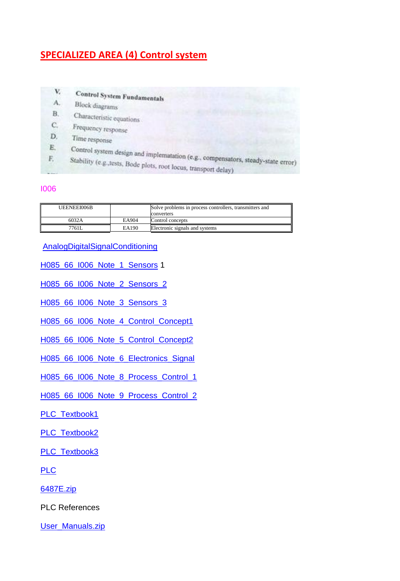# **SPECIALIZED AREA (4) Control system**

V. **Control System Fundamentals** A. Block diagrams **B.** Characterístic equations Frequency response  $C_{\rm c}$ D. Time response Control system design and implematation (e.g., compensators, steady-state error)<br>Stability (e.g., tests, Bode plots, root locus, transport 4.1  ${\bf E}.$ F. Stability (e.g., tests, Bode plots, root locus, transport delay)

#### I006

| UEENEEI006B |       | Solve problems in process controllers, transmitters and<br>converters |
|-------------|-------|-----------------------------------------------------------------------|
| 6032A       | EA904 | Control concepts                                                      |
| 7761L       | EA190 | Electronic signals and systems                                        |

[AnalogDigitalSignalConditioning](http://powersemester1.zoomshare.com/files/AnalogDigitalSignalConditioning.zip)

[H085\\_66\\_I006\\_Note\\_1\\_Sensors](http://powersemester1.zoomshare.com/files/H085_66_I006_Note_1_Sensors_.zip) 1

[H085\\_66\\_I006\\_Note\\_2\\_Sensors\\_2](http://powersemester1.zoomshare.com/files/H085_66_I006_Note_2_Sensors_2_.zip)

[H085\\_66\\_I006\\_Note\\_3\\_Sensors\\_3](http://powersemester1.zoomshare.com/files/H085_66_I006_Note_3_Sensors_3_.zip)

[H085\\_66\\_I006\\_Note\\_4\\_Control\\_Concept1](http://powersemester1.zoomshare.com/files/H085_66_I006_Note_4_Control_Concept1_.zip)

[H085\\_66\\_I006\\_Note\\_5\\_Control\\_Concept2](http://powersemester1.zoomshare.com/files/H085_66_I006_Note_5_Control_Concept2_.zip)

[H085\\_66\\_I006\\_Note\\_6\\_Electronics\\_Signal](http://powersemester1.zoomshare.com/files/H085_66_I006_Note_6_Electronics_Signal_.zip)

[H085\\_66\\_I006\\_Note\\_8\\_Process\\_Control\\_1](http://powersemester1.zoomshare.com/files/H085_66_I006_Note_8_Process_Control_1_.zip)

[H085\\_66\\_I006\\_Note\\_9\\_Process\\_Control\\_2](http://powersemester1.zoomshare.com/files/H085_66_I006_Note_9_Process_Control_2_.zip)

[PLC\\_Textbook1](http://powersemester1.zoomshare.com/files/PLC_Textbook1.zip)

[PLC\\_Textbook2](http://powersemester1.zoomshare.com/files/PLC_Textbook2.zip)

[PLC\\_Textbook3](http://powersemester1.zoomshare.com/files/PLC_Textbook3.zip)

[PLC](http://powersemester1.zoomshare.com/files/PLC.zip)

[6487E.zip](http://powersemester1.zoomshare.com/files/6487E.zip)

PLC References

[User\\_Manuals.zip](http://powersemester1.zoomshare.com/files/User_Manuals.zip)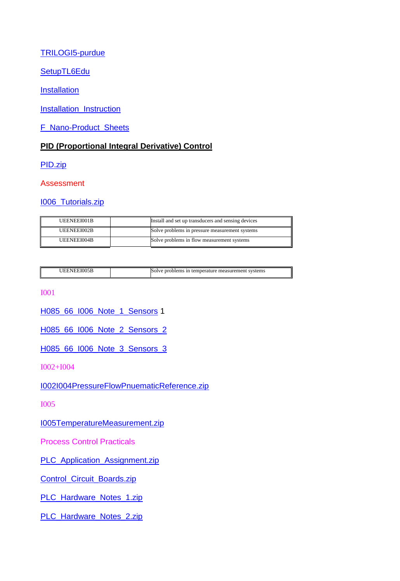### [TRILOGI5-purdue](http://powersemester1.zoomshare.com/files/TRILOGI5-purdue.zip)

[SetupTL6Edu](http://powersemester1.zoomshare.com/files/SetupTL6Edu.zip)

[Installation](http://powersemester1.zoomshare.com/files/Installation.zip)

[Installation\\_Instruction](http://powersemester1.zoomshare.com/files/Installation_Instruction.zip)

[F\\_Nano-Product\\_Sheets](http://powersemester1.zoomshare.com/files/F_Nano-Product_Sheets.zip)

### **PID (Proportional Integral Derivative) Control**

[PID.zip](http://esipowersystem4.zoomshare.com/files/PID.zip)

Assessment

[I006\\_Tutorials.zip](http://advanceddiplomastage4f.zoomshare.com/files/I006_Tutorials.zip)

| UEENEEI001B | Install and set up transducers and sensing devices |
|-------------|----------------------------------------------------|
| UEENEEI002B | Solve problems in pressure measurement systems     |
| UEENEEI004B | Solve problems in flow measurement systems         |

| JEENEEI005B | Solve problems in temperature measurement systems |
|-------------|---------------------------------------------------|

I001

[H085\\_66\\_I006\\_Note\\_1\\_Sensors](http://powersemester1.zoomshare.com/files/H085_66_I006_Note_1_Sensors_.zip) 1

[H085\\_66\\_I006\\_Note\\_2\\_Sensors\\_2](http://powersemester1.zoomshare.com/files/H085_66_I006_Note_2_Sensors_2_.zip)

[H085\\_66\\_I006\\_Note\\_3\\_Sensors\\_3](http://powersemester1.zoomshare.com/files/H085_66_I006_Note_3_Sensors_3_.zip)

I002+I004

[I002I004PressureFlowPnuematicReference.zip](http://advanceddiplomastage4c.zoomshare.com/files/I002I004PressureFlowPnuematicReference.zip)

I005

[I005TemperatureMeasurement.zip](http://advanceddiplomastage4c.zoomshare.com/files/I005TemperatureMeasurement.zip)

Process Control Practicals

[PLC\\_Application\\_Assignment.zip](http://advanceddiplomastage4d.zoomshare.com/files/PLC_Application_Assignment.zip)

[Control\\_Circuit\\_Boards.zip](http://advanceddiplomastage4d.zoomshare.com/files/Control_Circuit_Boards.zip)

[PLC\\_Hardware\\_Notes\\_1.zip](http://advanceddiplomastage4d.zoomshare.com/files/PLC_Hardware_Notes_1.zip)

[PLC\\_Hardware\\_Notes\\_2.zip](http://advanceddiplomastage4d.zoomshare.com/files/PLC_Hardware_Notes_2.zip)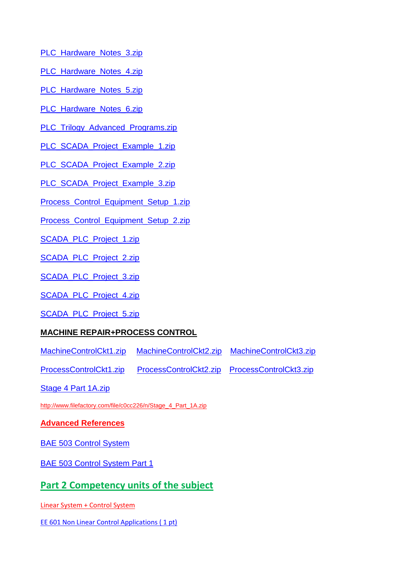- [PLC\\_Hardware\\_Notes\\_3.zip](http://advanceddiplomastage4d.zoomshare.com/files/PLC_Hardware_Notes_3.zip)
- [PLC\\_Hardware\\_Notes\\_4.zip](http://advanceddiplomastage4d.zoomshare.com/files/PLC_Hardware_Notes_4.zip)
- PLC Hardware Notes 5.zip
- [PLC\\_Hardware\\_Notes\\_6.zip](http://advanceddiplomastage4d.zoomshare.com/files/PLC_Hardware_Notes_6.zip)
- [PLC\\_Trilogy\\_Advanced\\_Programs.zip](http://advanceddiplomastage4d.zoomshare.com/files/PLC_Trilogy_Advanced_Programs.zip)
- [PLC\\_SCADA\\_Project\\_Example\\_1.zip](http://advanceddiplomastage4d.zoomshare.com/files/PLC_SCADA_Project_Example_1.zip)
- [PLC\\_SCADA\\_Project\\_Example\\_2.zip](http://advanceddiplomastage4d.zoomshare.com/files/PLC_SCADA_Project_Example_2.zip)
- [PLC\\_SCADA\\_Project\\_Example\\_3.zip](http://advanceddiplomastage4d.zoomshare.com/files/PLC_SCADA_Project_Example_3.zip)
- [Process\\_Control\\_Equipment\\_Setup\\_1.zip](http://advanceddiplomastage4d.zoomshare.com/files/Process_Control_Equipment_Setup_1.zip)
- [Process\\_Control\\_Equipment\\_Setup\\_2.zip](http://advanceddiplomastage4d.zoomshare.com/files/Process_Control_Equipment_Setup_2.zip)
- [SCADA\\_PLC\\_Project\\_1.zip](http://advanceddiplomastage4d.zoomshare.com/files/SCADA_PLC_Project_1.zip)
- [SCADA\\_PLC\\_Project\\_2.zip](http://advanceddiplomastage4d.zoomshare.com/files/SCADA_PLC_Project_2.zip)
- [SCADA\\_PLC\\_Project\\_3.zip](http://advanceddiplomastage4d.zoomshare.com/files/SCADA_PLC_Project_3.zip)
- [SCADA\\_PLC\\_Project\\_4.zip](http://advanceddiplomastage4d.zoomshare.com/files/SCADA_PLC_Project_4.zip)
- [SCADA\\_PLC\\_Project\\_5.zip](http://advanceddiplomastage4d.zoomshare.com/files/SCADA_PLC_Project_5.zip)

### **MACHINE REPAIR+PROCESS CONTROL**

- [MachineControlCkt1.zip](http://advanceddiplomastage4g.zoomshare.com/files/MachineControlCkt1.zip) [MachineControlCkt2.zip](http://advanceddiplomastage4g.zoomshare.com/files/MachineControlCkt2.zip) [MachineControlCkt3.zip](http://advanceddiplomastage4g.zoomshare.com/files/MachineControlCkt3.zip)
- [ProcessControlCkt1.zip](http://advanceddiplomastage4g.zoomshare.com/files/ProcessControlCkt1.zip) [ProcessControlCkt2.zip](http://advanceddiplomastage4g.zoomshare.com/files/ProcessControlCkt2.zip) [ProcessControlCkt3.zip](http://advanceddiplomastage4g.zoomshare.com/files/ProcessControlCkt3.zip)
- [Stage 4 Part 1A.zip](http://www.filefactory.com/file/c0cc226/n/Stage_4_Part_1A.zip)
- [http://www.filefactory.com/file/c0cc226/n/Stage\\_4\\_Part\\_1A.zip](http://www.filefactory.com/file/c0cc226/n/Stage_4_Part_1A.zip)

### **Advanced References**

- [BAE 503 Control System](http://www.filefactory.com/file/5yo6936qfu1h/n/BAE_502_Linear_System_BAE_503_Control_System_2_zip)
- [BAE 503 Control System Part 1](http://www.filefactory.com/file/em8vo79cvrb/n/BAE_502_Linear_System_BAE_503_Control_System_1_zip)

# **Part 2 Competency units of the subject**

- Linear System + Control System
- EE 601 Non Linear Control Applications (1 pt)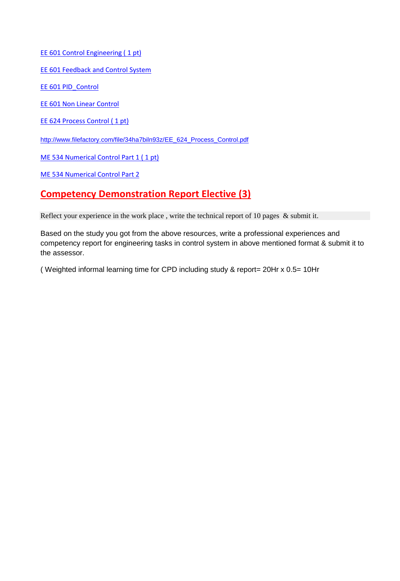EE 601 Control Engineering (1 pt)

[EE 601 Feedback and Control System](http://www.filefactory.com/file/3ddakdn79j1/n/EE_601_Feedback_and_Control_System_pdf)

[EE 601 PID\\_Control](http://www.filefactory.com/file/6g283wpn7zn1/n/EE_601_PID_Control_Implementation_and_Tuning_pdf)

[EE 601 Non Linear Control](http://www.filefactory.com/file/p26txzuvb8v/n/EE_601_Applications_of_Nonlinear_Control_pdf)

EE 624 Process Control (1 pt)

[http://www.filefactory.com/file/34ha7biln93z/EE\\_624\\_Process\\_Control.pdf](http://www.filefactory.com/file/34ha7biln93z/EE_624_Process_Control.pdf)

[ME 534 Numerical Control Part 1 \( 1 pt\)](http://www.filefactory.com/file/235vctnqqq7b/n/ME_534_Numerical_Control_Part_1_pdf)

[ME 534 Numerical Control Part 2](http://www.filefactory.com/file/2d8c1phyv6sj/ME_534_Numerical_Control_Part_2.pdf)

# **Competency Demonstration Report Elective (3)**

Reflect your experience in the work place, write the technical report of 10 pages & submit it.

Based on the study you got from the above resources, write a professional experiences and competency report for engineering tasks in control system in above mentioned format & submit it to the assessor.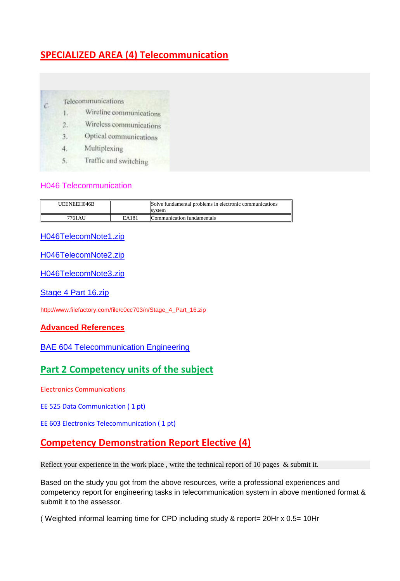# **SPECIALIZED AREA (4) Telecommunication**

#### Telecommunications

 $\mathcal{C}$ 

- Wirefine communications  $1.$
- Wireless communications  $2.$
- Optical communications 3.
- $4.$ Multiplexing
- Traffic and switching 5.

#### H046 Telecommunication

| UEENEEH046B |       | Solve fundamental problems in electronic communications |
|-------------|-------|---------------------------------------------------------|
|             |       | svstem                                                  |
| 7761 AU     | EA181 | Communication fundamentals                              |

[H046TelecomNote1.zip](http://advanceddiplomastage4f.zoomshare.com/files/H046TelecomNote1.zip)

[H046TelecomNote2.zip](http://advanceddiplomastage4f.zoomshare.com/files/H046TelecomNote2.zip)

[H046TelecomNote3.zip](http://advanceddiplomastage4f.zoomshare.com/files/H046TelecomNote3.zip)

[Stage 4 Part 16.zip](http://www.filefactory.com/file/c0cc703/n/Stage_4_Part_16.zip)

http://www.filefactory.com/file/c0cc703/n/Stage\_4\_Part\_16.zip

### **Advanced References**

### **[BAE 604 Telecommunication Engineering](http://www.filefactory.com/file/1qamvs93fcc7/n/BAE_604_Telecommunication_Engineering_zip)**

# **Part 2 Competency units of the subject**

Electronics Communications

[EE 525 Data Communication \( 1 pt\)](http://www.filefactory.com/file/1tiysukaflaf/EE_525_Data_Communication.pdf)

[EE 603 Electronics Telecommunication \( 1 pt\)](http://www.filefactory.com/file/7c81i4xtm9u3/EE_603_Electronics_Telecommunication.pdf)

# **Competency Demonstration Report Elective (4)**

Reflect your experience in the work place, write the technical report of 10 pages & submit it.

Based on the study you got from the above resources, write a professional experiences and competency report for engineering tasks in telecommunication system in above mentioned format & submit it to the assessor.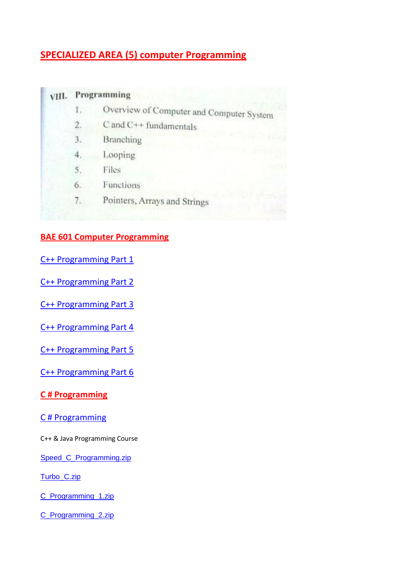# **SPECIALIZED AREA (5) computer Programming**

# **VIII.** Programming

- Overview of Computer and Computer System  $1.$
- C and C++ fundamentals  $2.$
- Branching 3.
- 4. Looping
- 5. Files
- Functions  $6.$
- Pointers, Arrays and Strings  $7.$

### **BAE 601 Computer Programming**

[C++ Programming Part 1](http://www.filefactory.com/file/7guuwgngvq5t/n/C_Programming_Part_1_zip)

[C++ Programming Part 2](http://www.filefactory.com/file/6yk1lp8qn0hz/n/C_Programming_Part_2_zip)

[C++ Programming Part 3](http://www.filefactory.com/file/9ks0avuahgz/n/C_Programming_Part_3_zip)

[C++ Programming Part 4](http://www.filefactory.com/file/4dk2kodzddjz/n/C_Programming_Part_4_zip)

[C++ Programming Part 5](http://www.filefactory.com/file/4i79ijwhkj5x/n/C_Programming_Part_5_zip)

[C++ Programming Part 6](http://www.filefactory.com/file/5lcs3kjm1czx/n/C_Programming_Part_6_zip)

### **C # Programming**

### [C # Programming](http://www.filefactory.com/file/11glualezni1/n/C_Programming_zip)

C++ & Java Programming Course

[Speed\\_C\\_Programming.zip](http://advanceddiplomastage4a.zoomshare.com/files/Speed_C_Programming.zip)

[Turbo\\_C.zip](http://advanceddiplomastage4a.zoomshare.com/files/Turbo_C.zip)

[C\\_Programming\\_1.zip](http://advanceddiplomastage4a.zoomshare.com/files/C_Programming_1.zip)

[C\\_Programming\\_2.zip](http://advanceddiplomastage4a.zoomshare.com/files/C_Programming_2.zip)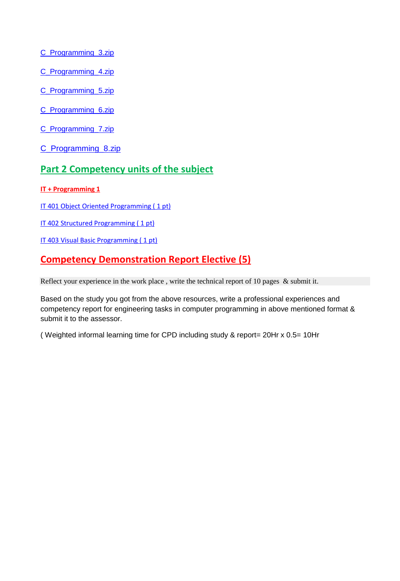[C\\_Programming\\_3.zip](http://advanceddiplomastage4a.zoomshare.com/files/C_Programming_3.zip)

[C\\_Programming\\_4.zip](http://advanceddiplomastage4a.zoomshare.com/files/C_Programming_4.zip)

[C\\_Programming\\_5.zip](http://advanceddiplomastage4a.zoomshare.com/files/C_Programming_5.zip)

[C\\_Programming\\_6.zip](http://advanceddiplomastage4a.zoomshare.com/files/C_Programming_6.zip)

[C\\_Programming\\_7.zip](http://advanceddiplomastage4a.zoomshare.com/files/C_Programming_7.zip)

[C\\_Programming\\_8.zip](http://advanceddiplomastage4a.zoomshare.com/files/C_Programming_8.zip)

# **Part 2 Competency units of the subject**

#### **IT + Programming 1**

IT 401 Object Oriented Programming (1 pt)

IT 402 Structured Programming (1 pt)

IT 403 Visual Basic Programming (1 pt)

# **Competency Demonstration Report Elective (5)**

Reflect your experience in the work place, write the technical report of 10 pages & submit it.

Based on the study you got from the above resources, write a professional experiences and competency report for engineering tasks in computer programming in above mentioned format & submit it to the assessor.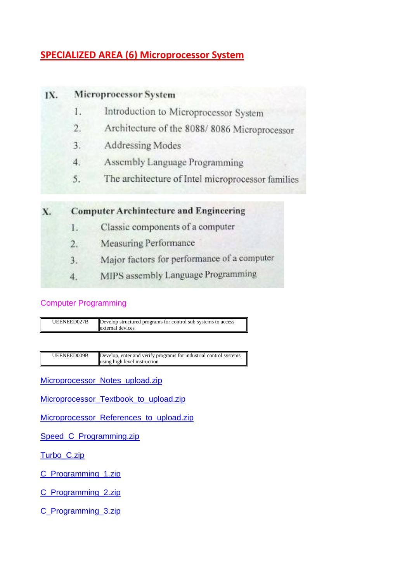# **SPECIALIZED AREA (6) Microprocessor System**

#### IX. **Microprocessor System**

- Introduction to Microprocessor System 1.
- Architecture of the 8088/8086 Microprocessor  $2.$
- Addressing Modes 3.
- Assembly Language Programming 4.
- The architecture of Intel microprocessor families 5.

#### **Computer Archintecture and Engineering** X.

- Classic components of a computer Ι.
- **Measuring Performance**  $2.$
- Major factors for performance of a computer  $3.$
- MIPS assembly Language Programming 4.

### Computer Programming



UEENEED009B Develop, enter and verify programs for industrial control systems using high level instruction

[Microprocessor\\_Notes\\_upload.zip](http://advanceddiplomastage4a.zoomshare.com/files/Microprocessor_Notes_upload.zip)

[Microprocessor\\_Textbook\\_to\\_upload.zip](http://advanceddiplomastage4a.zoomshare.com/files/Microprocessor_Textbook_to_upload.zip)

[Microprocessor\\_References\\_to\\_upload.zip](http://advanceddiplomastage4a.zoomshare.com/files/Microprocessor_References_to_upload.zip)

[Speed\\_C\\_Programming.zip](http://advanceddiplomastage4a.zoomshare.com/files/Speed_C_Programming.zip)

[Turbo\\_C.zip](http://advanceddiplomastage4a.zoomshare.com/files/Turbo_C.zip)

[C\\_Programming\\_1.zip](http://advanceddiplomastage4a.zoomshare.com/files/C_Programming_1.zip)

[C\\_Programming\\_2.zip](http://advanceddiplomastage4a.zoomshare.com/files/C_Programming_2.zip)

[C\\_Programming\\_3.zip](http://advanceddiplomastage4a.zoomshare.com/files/C_Programming_3.zip)